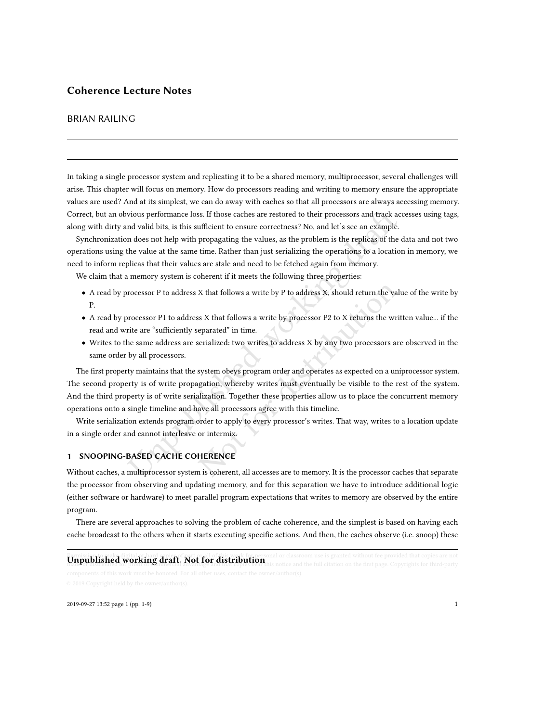## Coherence Lecture Notes

## BRIAN RAILING

In taking a single processor system and replicating it to be a shared memory, multiprocessor, several challenges will arise. This chapter will focus on memory. How do processors reading and writing to memory ensure the appropriate values are used? And at its simplest, we can do away with caches so that all processors are always accessing memory. Correct, but an obvious performance loss. If those caches are restored to their processors and track accesses using tags, along with dirty and valid bits, is this sufficient to ensure correctness? No, and let's see an example.

Synchronization does not help with propagating the values, as the problem is the replicas of the data and not two operations using the value at the same time. Rather than just serializing the operations to a location in memory, we need to inform replicas that their values are stale and need to be fetched again from memory.

We claim that a memory system is coherent if it meets the following three properties:

- A read by processor P to address X that follows a write by P to address X, should return the value of the write by P.
- A read by processor P1 to address X that follows a write by processor P2 to X returns the written value... if the read and write are "sufficiently separated" in time.
- Writes to the same address are serialized: two writes to address X by any two processors are observed in the same order by all processors.

vious performance loss. If those caches are restored to their processors and track ac<br>nd valid bits, is this sufficient to ensure correctness? No, and let's see an example.<br>
In does not help with propagating the values, as X that follows a write by P to address X, should return the valus<br>
SX that follows a write by processor P2 to X returns the write<br>
eparated" in time.<br>
SEC is verifically the value of the server distribution<br>
serialized: tw The first property maintains that the system obeys program order and operates as expected on a uniprocessor system. The second property is of write propagation, whereby writes must eventually be visible to the rest of the system. And the third property is of write serialization. Together these properties allow us to place the concurrent memory operations onto a single timeline and have all processors agree with this timeline.

Write serialization extends program order to apply to every processor's writes. That way, writes to a location update in a single order and cannot interleave or intermix.

## 1 SNOOPING-BASED CACHE COHERENCE

Without caches, a multiprocessor system is coherent, all accesses are to memory. It is the processor caches that separate the processor from observing and updating memory, and for this separation we have to introduce additional logic (either software or hardware) to meet parallel program expectations that writes to memory are observed by the entire program.

There are several approaches to solving the problem of cache coherence, and the simplest is based on having each cache broadcast to the others when it starts executing specific actions. And then, the caches observe (i.e. snoop) these

# **Unpublished working draft. Not for distribution** his notice and the full citation on the first page. Copyrights for third-party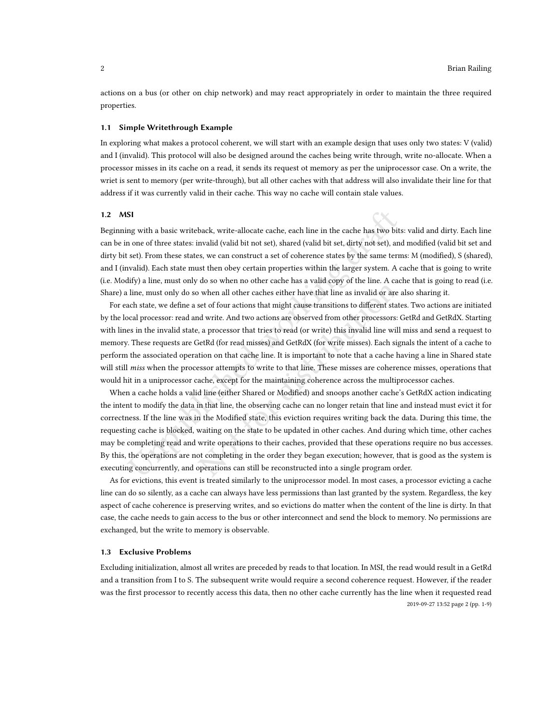actions on a bus (or other on chip network) and may react appropriately in order to maintain the three required properties.

#### 1.1 Simple Writethrough Example

In exploring what makes a protocol coherent, we will start with an example design that uses only two states: V (valid) and I (invalid). This protocol will also be designed around the caches being write through, write no-allocate. When a processor misses in its cache on a read, it sends its request ot memory as per the uniprocessor case. On a write, the wriet is sent to memory (per write-through), but all other caches with that address will also invalidate their line for that address if it was currently valid in their cache. This way no cache will contain stale values.

#### 1.2 MSI

Beginning with a basic writeback, write-allocate cache, each line in the cache has two bits: valid and dirty. Each line can be in one of three states: invalid (valid bit not set), shared (valid bit set, dirty not set), and modified (valid bit set and dirty bit set). From these states, we can construct a set of coherence states by the same terms: M (modified), S (shared), and I (invalid). Each state must then obey certain properties within the larger system. A cache that is going to write (i.e. Modify) a line, must only do so when no other cache has a valid copy of the line. A cache that is going to read (i.e. Share) a line, must only do so when all other caches either have that line as invalid or are also sharing it.

For each state, we define a set of four actions that might cause transitions to different states. Two actions are initiated by the local processor: read and write. And two actions are observed from other processors: GetRd and GetRdX. Starting with lines in the invalid state, a processor that tries to read (or write) this invalid line will miss and send a request to memory. These requests are GetRd (for read misses) and GetRdX (for write misses). Each signals the intent of a cache to perform the associated operation on that cache line. It is important to note that a cache having a line in Shared state will still *miss* when the processor attempts to write to that line. These misses are coherence misses, operations that would hit in a uniprocessor cache, except for the maintaining coherence across the multiprocessor caches.

**S1**<br>**S1** my with a basic writeback, write-allocate cache, each line in the cache has two bits on one of three states: invalid (valid bit not set), shared (valid bit set, dirty not set), an<br>set). From these states, we can Note that the cack is a method of the transmission of the presentation of the present of four actions that might cause transitions to different state of four actions that might cause transitions to different state of write When a cache holds a valid line (either Shared or Modified) and snoops another cache's GetRdX action indicating the intent to modify the data in that line, the observing cache can no longer retain that line and instead must evict it for correctness. If the line was in the Modified state, this eviction requires writing back the data. During this time, the requesting cache is blocked, waiting on the state to be updated in other caches. And during which time, other caches may be completing read and write operations to their caches, provided that these operations require no bus accesses. By this, the operations are not completing in the order they began execution; however, that is good as the system is executing concurrently, and operations can still be reconstructed into a single program order.

As for evictions, this event is treated similarly to the uniprocessor model. In most cases, a processor evicting a cache line can do so silently, as a cache can always have less permissions than last granted by the system. Regardless, the key aspect of cache coherence is preserving writes, and so evictions do matter when the content of the line is dirty. In that case, the cache needs to gain access to the bus or other interconnect and send the block to memory. No permissions are exchanged, but the write to memory is observable.

#### 1.3 Exclusive Problems

Excluding initialization, almost all writes are preceded by reads to that location. In MSI, the read would result in a GetRd and a transition from I to S. The subsequent write would require a second coherence request. However, if the reader was the first processor to recently access this data, then no other cache currently has the line when it requested read 2019-09-27 13:52 page 2 (pp. 1-9)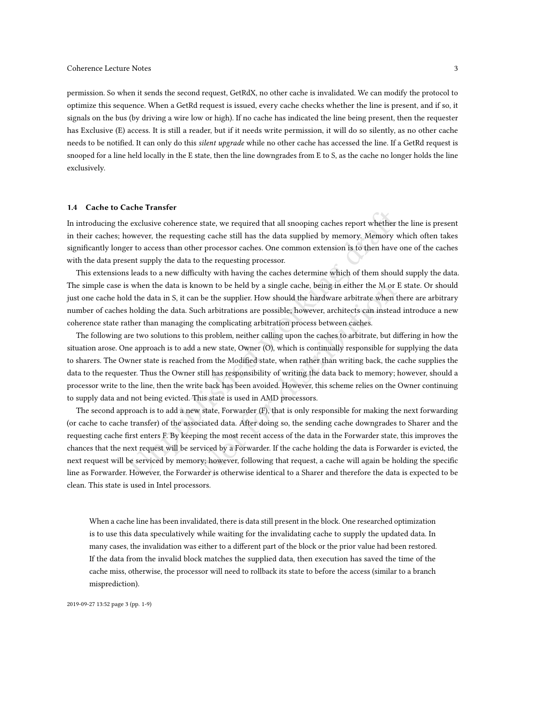permission. So when it sends the second request, GetRdX, no other cache is invalidated. We can modify the protocol to optimize this sequence. When a GetRd request is issued, every cache checks whether the line is present, and if so, it signals on the bus (by driving a wire low or high). If no cache has indicated the line being present, then the requester has Exclusive (E) access. It is still a reader, but if it needs write permission, it will do so silently, as no other cache needs to be notified. It can only do this *silent upgrade* while no other cache has accessed the line. If a GetRd request is snooped for a line held locally in the E state, then the line downgrades from E to S, as the cache no longer holds the line exclusively.

#### 1.4 Cache to Cache Transfer

In introducing the exclusive coherence state, we required that all snooping caches report whether the line is present in their caches; however, the requesting cache still has the data supplied by memory. Memory which often takes significantly longer to access than other processor caches. One common extension is to then have one of the caches with the data present supply the data to the requesting processor.

This extensions leads to a new difficulty with having the caches determine which of them should supply the data. The simple case is when the data is known to be held by a single cache, being in either the M or E state. Or should just one cache hold the data in S, it can be the supplier. How should the hardware arbitrate when there are arbitrary number of caches holding the data. Such arbitrations are possible; however, architects can instead introduce a new coherence state rather than managing the complicating arbitration process between caches.

The following are two solutions to this problem, neither calling upon the caches to arbitrate, but differing in how the situation arose. One approach is to add a new state, Owner (O), which is continually responsible for supplying the data to sharers. The Owner state is reached from the Modified state, when rather than writing back, the cache supplies the data to the requester. Thus the Owner still has responsibility of writing the data back to memory; however, should a processor write to the line, then the write back has been avoided. However, this scheme relies on the Owner continuing to supply data and not being evicted. This state is used in AMD processors.

exclusive contente state, we required that all snooping caches report whether the exclusive coherence state, we required that all snooping caches report whether the ovever, the requesting cache still has the data supplied own to be held by a single cache, being in either the M or E<br>be the supplier. How should the hardware arbitrate when th<br>ch arbitrations are possible; however, architects can instead<br>he complicating arbitration process betw The second approach is to add a new state, Forwarder (F), that is only responsible for making the next forwarding (or cache to cache transfer) of the associated data. After doing so, the sending cache downgrades to Sharer and the requesting cache first enters F. By keeping the most recent access of the data in the Forwarder state, this improves the chances that the next request will be serviced by a Forwarder. If the cache holding the data is Forwarder is evicted, the next request will be serviced by memory; however, following that request, a cache will again be holding the specific line as Forwarder. However, the Forwarder is otherwise identical to a Sharer and therefore the data is expected to be clean. This state is used in Intel processors.

When a cache line has been invalidated, there is data still present in the block. One researched optimization is to use this data speculatively while waiting for the invalidating cache to supply the updated data. In many cases, the invalidation was either to a different part of the block or the prior value had been restored. If the data from the invalid block matches the supplied data, then execution has saved the time of the cache miss, otherwise, the processor will need to rollback its state to before the access (similar to a branch misprediction).

2019-09-27 13:52 page 3 (pp. 1-9)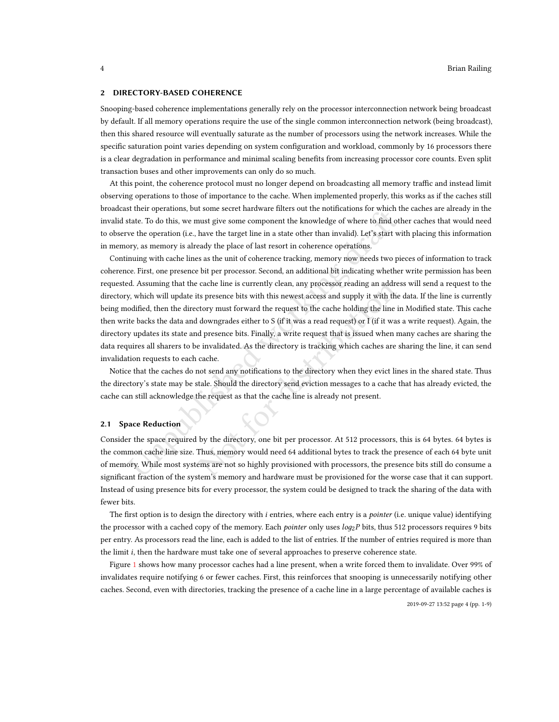#### 2 DIRECTORY-BASED COHERENCE

Snooping-based coherence implementations generally rely on the processor interconnection network being broadcast by default. If all memory operations require the use of the single common interconnection network (being broadcast), then this shared resource will eventually saturate as the number of processors using the network increases. While the specific saturation point varies depending on system configuration and workload, commonly by 16 processors there is a clear degradation in performance and minimal scaling benefits from increasing processor core counts. Even split transaction buses and other improvements can only do so much.

At this point, the coherence protocol must no longer depend on broadcasting all memory traffic and instead limit observing operations to those of importance to the cache. When implemented properly, this works as if the caches still broadcast their operations, but some secret hardware filters out the notifications for which the caches are already in the invalid state. To do this, we must give some component the knowledge of where to find other caches that would need to observe the operation (i.e., have the target line in a state other than invalid). Let's start with placing this information in memory, as memory is already the place of last resort in coherence operations.

stratte To do this, we some secter inaurance inters out in informations for which that the products, but some the more than the moveledge of where to find other the frontestion of the state. To do this, we must give some c cache ime is currently clean, any processor reading an addres<br>ts presence bits with this newest access and supply it with the<br>ctory must forward the request to the cache holding the line in<br>downgrades either to S (if it wa Continuing with cache lines as the unit of coherence tracking, memory now needs two pieces of information to track coherence. First, one presence bit per processor. Second, an additional bit indicating whether write permission has been requested. Assuming that the cache line is currently clean, any processor reading an address will send a request to the directory, which will update its presence bits with this newest access and supply it with the data. If the line is currently being modified, then the directory must forward the request to the cache holding the line in Modified state. This cache then write backs the data and downgrades either to S (if it was a read request) or I (if it was a write request). Again, the directory updates its state and presence bits. Finally, a write request that is issued when many caches are sharing the data requires all sharers to be invalidated. As the directory is tracking which caches are sharing the line, it can send invalidation requests to each cache.

Notice that the caches do not send any notifications to the directory when they evict lines in the shared state. Thus the directory's state may be stale. Should the directory send eviction messages to a cache that has already evicted, the cache can still acknowledge the request as that the cache line is already not present.

#### 2.1 Space Reduction

Consider the space required by the directory, one bit per processor. At 512 processors, this is 64 bytes. 64 bytes is the common cache line size. Thus, memory would need 64 additional bytes to track the presence of each 64 byte unit of memory. While most systems are not so highly provisioned with processors, the presence bits still do consume a significant fraction of the system's memory and hardware must be provisioned for the worse case that it can support. Instead of using presence bits for every processor, the system could be designed to track the sharing of the data with fewer bits.

The first option is to design the directory with *i* entries, where each entry is a *pointer* (i.e. unique value) identifying the processor with a cached copy of the memory. Each pointer only uses log<sub>2</sub>P bits, thus 512 processors requires 9 bits per entry. As processors read the line, each is added to the list of entries. If the number of entries required is more than the limit i, then the hardware must take one of several approaches to preserve coherence state.

Figure [1](#page-4-0) shows how many processor caches had a line present, when a write forced them to invalidate. Over 99% of invalidates require notifying 6 or fewer caches. First, this reinforces that snooping is unnecessarily notifying other caches. Second, even with directories, tracking the presence of a cache line in a large percentage of available caches is

2019-09-27 13:52 page 4 (pp. 1-9)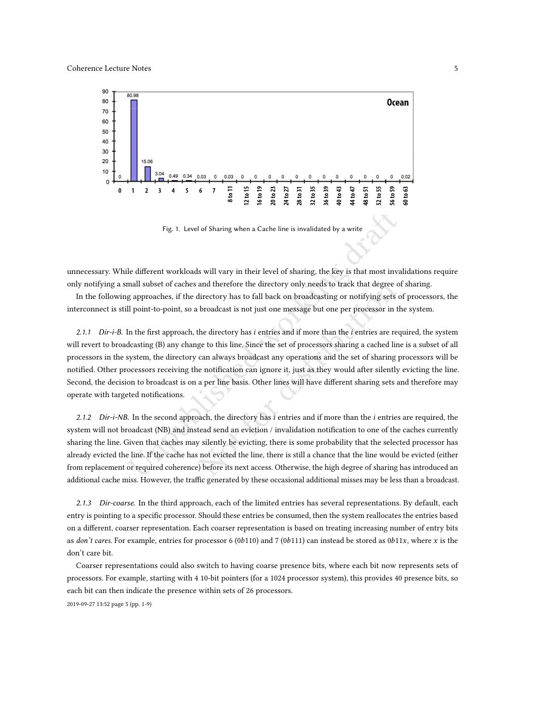<span id="page-4-0"></span>

Fig. 1. Level of Sharing when a Cache line is invalidated by a write

unnecessary. While different workloads will vary in their level of sharing, the key is that most invalidations require only notifying a small subset of caches and therefore the directory only needs to track that degree of sharing.

In the following approaches, if the directory has to fall back on broadcasting or notifying sets of processors, the interconnect is still point-to-point, so a broadcast is not just one message but one per processor in the system.

Fig. 1. Level of Sharing when a Cache line is invalidated by a write<br>
le different workloads will vary in their level of sharing, the key is that most inva<br>
mall subset of caches and therefore the directory only needs to t and therefore the directory only needs to track that degree of<br>lirectory has to fall back on broadcasting or notifying sets of<br>broadcast is not just one message but one per processor in th<br>he directory has  $i$  entries and 2.1.1 Dir-i-B. In the first approach, the directory has  $i$  entries and if more than the  $i$  entries are required, the system will revert to broadcasting (B) any change to this line. Since the set of processors sharing a cached line is a subset of all processors in the system, the directory can always broadcast any operations and the set of sharing processors will be notified. Other processors receiving the notification can ignore it, just as they would after silently evicting the line. Second, the decision to broadcast is on a per line basis. Other lines will have different sharing sets and therefore may operate with targeted notifications.

2.1.2 Dir-i-NB. In the second approach, the directory has i entries and if more than the i entries are required, the system will not broadcast (NB) and instead send an eviction / invalidation notification to one of the caches currently sharing the line. Given that caches may silently be evicting, there is some probability that the selected processor has already evicted the line. If the cache has not evicted the line, there is still a chance that the line would be evicted (either from replacement or required coherence) before its next access. Otherwise, the high degree of sharing has introduced an additional cache miss. However, the traffic generated by these occasional additional misses may be less than a broadcast.

2.1.3 Dir-coarse. In the third approach, each of the limited entries has several representations. By default, each entry is pointing to a specific processor. Should these entries be consumed, then the system reallocates the entries based on a different, coarser representation. Each coarser representation is based on treating increasing number of entry bits as don't cares. For example, entries for processor 6 (0b110) and 7 (0b111) can instead be stored as  $0b11x$ , where x is the don't care bit.

Coarser representations could also switch to having coarse presence bits, where each bit now represents sets of processors. For example, starting with 4 10-bit pointers (for a 1024 processor system), this provides 40 presence bits, so each bit can then indicate the presence within sets of 26 processors.

2019-09-27 13:52 page 5 (pp. 1-9)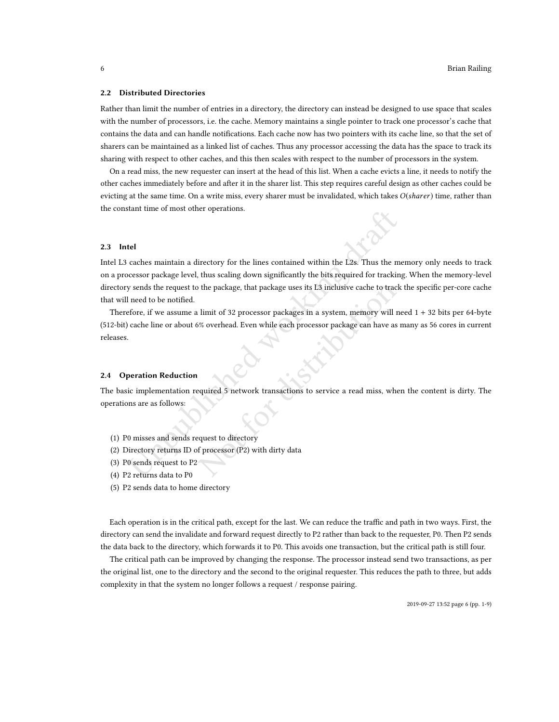#### 2.2 Distributed Directories

Rather than limit the number of entries in a directory, the directory can instead be designed to use space that scales with the number of processors, i.e. the cache. Memory maintains a single pointer to track one processor's cache that contains the data and can handle notifications. Each cache now has two pointers with its cache line, so that the set of sharers can be maintained as a linked list of caches. Thus any processor accessing the data has the space to track its sharing with respect to other caches, and this then scales with respect to the number of processors in the system.

On a read miss, the new requester can insert at the head of this list. When a cache evicts a line, it needs to notify the other caches immediately before and after it in the sharer list. This step requires careful design as other caches could be evicting at the same time. On a write miss, every sharer must be invalidated, which takes  $O(sharer)$  time, rather than the constant time of most other operations.

## 2.3 Intel

**tel**<br> **tel**<br> **caches** maintain a directory for the lines contained within the L2s. Thus the m<br>
occessor package level, thus scaling down significantly the bits required for trackin<br>
y sends the request to the package, tha Intel L3 caches maintain a directory for the lines contained within the L2s. Thus the memory only needs to track on a processor package level, thus scaling down significantly the bits required for tracking. When the memory-level directory sends the request to the package, that package uses its L3 inclusive cache to track the specific per-core cache that will need to be notified.

the package, that package uses its L3 inclusive cache to track<br>
limit of 32 processor packages in a system, memory will ne<br>
% overhead. Even while each processor package can have as not<br>
equired 5 network transactions to s Therefore, if we assume a limit of 32 processor packages in a system, memory will need 1 + 32 bits per 64-byte (512-bit) cache line or about 6% overhead. Even while each processor package can have as many as 56 cores in current releases.

#### 2.4 Operation Reduction

The basic implementation required 5 network transactions to service a read miss, when the content is dirty. The operations are as follows:

- (1) P0 misses and sends request to directory
- (2) Directory returns ID of processor (P2) with dirty data
- (3) P0 sends request to P2
- (4) P2 returns data to P0
- (5) P2 sends data to home directory

Each operation is in the critical path, except for the last. We can reduce the traffic and path in two ways. First, the directory can send the invalidate and forward request directly to P2 rather than back to the requester, P0. Then P2 sends the data back to the directory, which forwards it to P0. This avoids one transaction, but the critical path is still four.

The critical path can be improved by changing the response. The processor instead send two transactions, as per the original list, one to the directory and the second to the original requester. This reduces the path to three, but adds complexity in that the system no longer follows a request / response pairing.

2019-09-27 13:52 page 6 (pp. 1-9)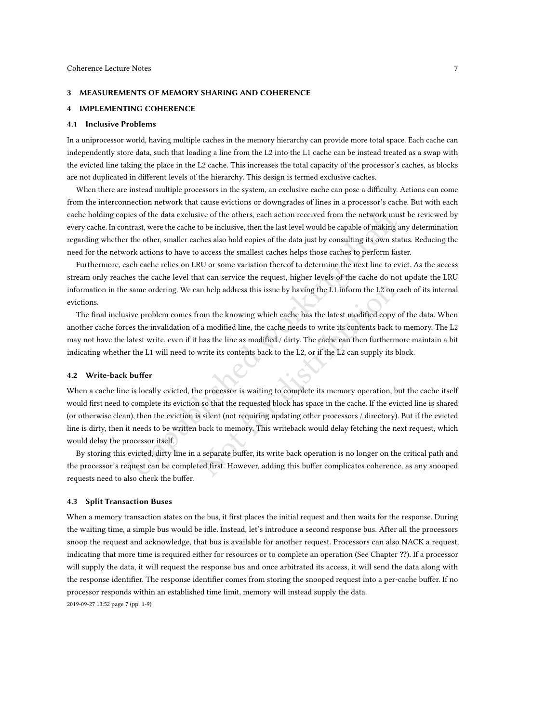#### 3 MEASUREMENTS OF MEMORY SHARING AND COHERENCE

## 4 IMPLEMENTING COHERENCE

#### 4.1 Inclusive Problems

In a uniprocessor world, having multiple caches in the memory hierarchy can provide more total space. Each cache can independently store data, such that loading a line from the L2 into the L1 cache can be instead treated as a swap with the evicted line taking the place in the L2 cache. This increases the total capacity of the processor's caches, as blocks are not duplicated in different levels of the hierarchy. This design is termed exclusive caches.

When there are instead multiple processors in the system, an exclusive cache can pose a difficulty. Actions can come from the interconnection network that cause evictions or downgrades of lines in a processor's cache. But with each cache holding copies of the data exclusive of the others, each action received from the network must be reviewed by every cache. In contrast, were the cache to be inclusive, then the last level would be capable of making any determination regarding whether the other, smaller caches also hold copies of the data just by consulting its own status. Reducing the need for the network actions to have to access the smallest caches helps those caches to perform faster.

Furthermore, each cache relies on LRU or some variation thereof to determine the next line to evict. As the access stream only reaches the cache level that can service the request, higher levels of the cache do not update the LRU information in the same ordering. We can help address this issue by having the L1 inform the L2 on each of its internal evictions.

The final inclusive problem comes from the knowing which cache has the latest modified copy of the data. When another cache forces the invalidation of a modified line, the cache needs to write its contents back to memory. The L2 may not have the latest write, even if it has the line as modified / dirty. The cache can then furthermore maintain a bit indicating whether the L1 will need to write its contents back to the L2, or if the L2 can supply its block.

## 4.2 Write-back buffer

ies of the data exclusive of the others, each action received from the network mustrast, were the cache to be inclusive, then the last level would be capable of making a the other, smaller caches also hold copies of the da an help address this issue by having the L1 inform the L2 on ear<br>orom the knowing which cache has the latest modified copy of<br>a modified line, the cache needs to write its contents back to<br>has the line as modified / dirty When a cache line is locally evicted, the processor is waiting to complete its memory operation, but the cache itself would first need to complete its eviction so that the requested block has space in the cache. If the evicted line is shared (or otherwise clean), then the eviction is silent (not requiring updating other processors / directory). But if the evicted line is dirty, then it needs to be written back to memory. This writeback would delay fetching the next request, which would delay the processor itself.

By storing this evicted, dirty line in a separate buffer, its write back operation is no longer on the critical path and the processor's request can be completed first. However, adding this buffer complicates coherence, as any snooped requests need to also check the buffer.

#### 4.3 Split Transaction Buses

When a memory transaction states on the bus, it first places the initial request and then waits for the response. During the waiting time, a simple bus would be idle. Instead, let's introduce a second response bus. After all the processors snoop the request and acknowledge, that bus is available for another request. Processors can also NACK a request, indicating that more time is required either for resources or to complete an operation (See Chapter ??). If a processor will supply the data, it will request the response bus and once arbitrated its access, it will send the data along with the response identifier. The response identifier comes from storing the snooped request into a per-cache buffer. If no processor responds within an established time limit, memory will instead supply the data.

2019-09-27 13:52 page 7 (pp. 1-9)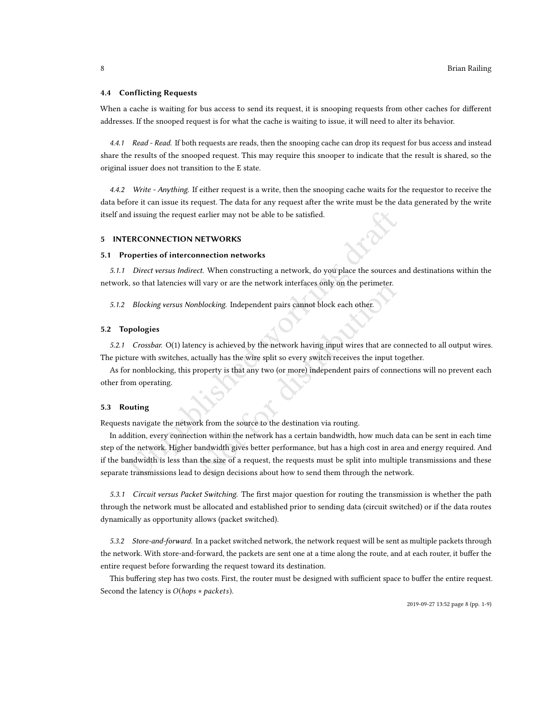#### 4.4 Conflicting Requests

When a cache is waiting for bus access to send its request, it is snooping requests from other caches for different addresses. If the snooped request is for what the cache is waiting to issue, it will need to alter its behavior.

4.4.1 Read - Read. If both requests are reads, then the snooping cache can drop its request for bus access and instead share the results of the snooped request. This may require this snooper to indicate that the result is shared, so the original issuer does not transition to the E state.

4.4.2 Write - Anything. If either request is a write, then the snooping cache waits for the requestor to receive the data before it can issue its request. The data for any request after the write must be the data generated by the write itself and issuing the request earlier may not be able to be satisfied.

## 5 INTERCONNECTION NETWORKS

## 5.1 Properties of interconnection networks

5.1.1 Direct versus Indirect. When constructing a network, do you place the sources and destinations within the network, so that latencies will vary or are the network interfaces only on the perimeter.

5.1.2 Blocking versus Nonblocking. Independent pairs cannot block each other.

#### 5.2 Topologies

5.2.1 Crossbar. O(1) latency is achieved by the network having input wires that are connected to all output wires. The picture with switches, actually has the wire split so every switch receives the input together.

As for nonblocking, this property is that any two (or more) independent pairs of connections will no prevent each other from operating.

#### 5.3 Routing

Requests navigate the network from the source to the destination via routing.

d issuing the request earlier may not be able to be satisfied.<br> **ERCONNECTION NETWORKS**<br> **ERCONNECTION NETWORKS**<br> *Direct versus Indirect*. When constructing a network, do you place the sources a, so that latencies will va Noting. Independent pairs cannot block each other.<br>
blocking. Independent pairs cannot block each other.<br>
Levy is achieved by the network having input wires that are contually has the wire split so every switch receives th In addition, every connection within the network has a certain bandwidth, how much data can be sent in each time step of the network. Higher bandwidth gives better performance, but has a high cost in area and energy required. And if the bandwidth is less than the size of a request, the requests must be split into multiple transmissions and these separate transmissions lead to design decisions about how to send them through the network.

5.3.1 Circuit versus Packet Switching. The first major question for routing the transmission is whether the path through the network must be allocated and established prior to sending data (circuit switched) or if the data routes dynamically as opportunity allows (packet switched).

5.3.2 Store-and-forward. In a packet switched network, the network request will be sent as multiple packets through the network. With store-and-forward, the packets are sent one at a time along the route, and at each router, it buffer the entire request before forwarding the request toward its destination.

This buffering step has two costs. First, the router must be designed with sufficient space to buffer the entire request. Second the latency is O(hops <sup>∗</sup> packets).

2019-09-27 13:52 page 8 (pp. 1-9)